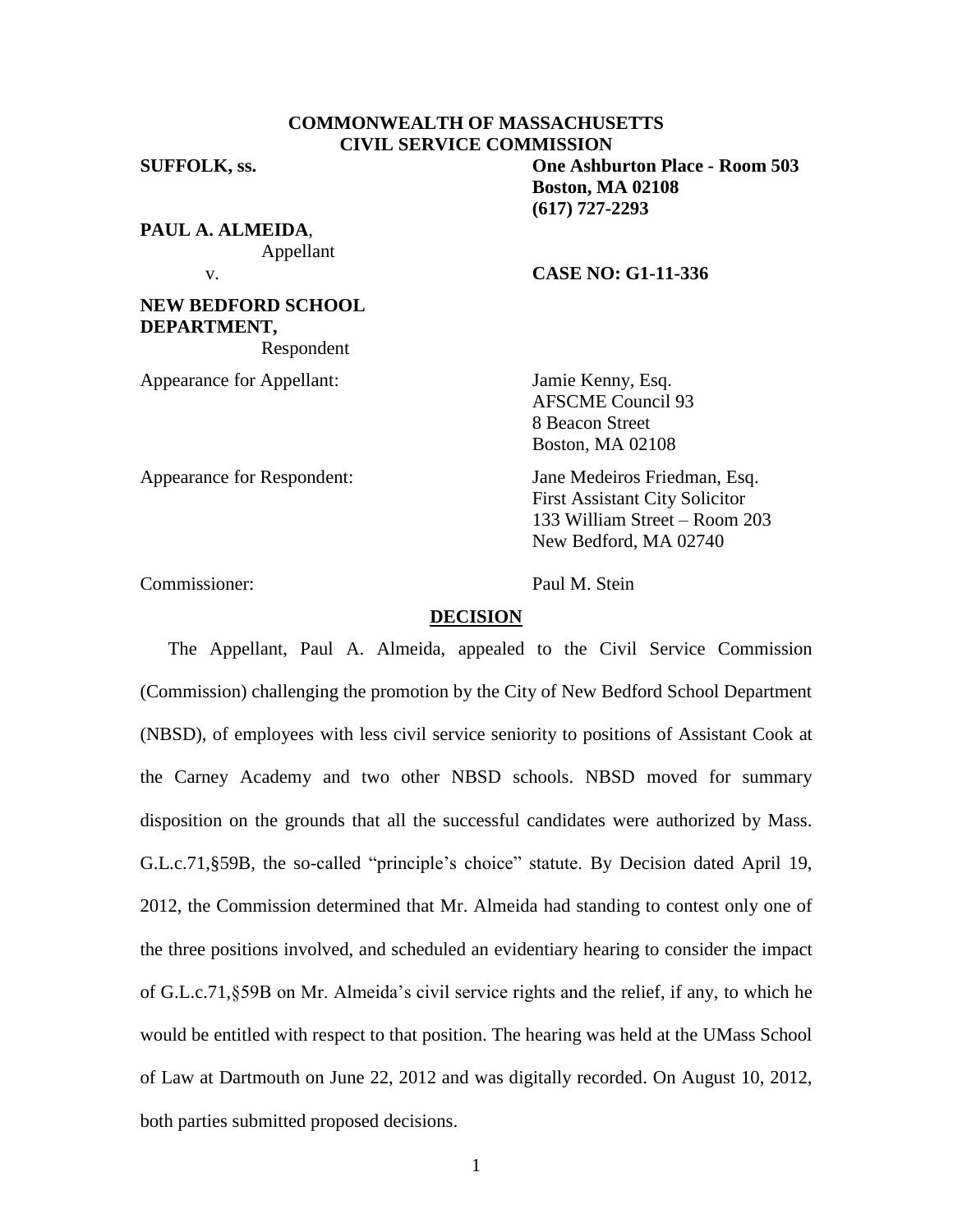# **COMMONWEALTH OF MASSACHUSETTS CIVIL SERVICE COMMISSION**

**SUFFOLK, ss. One Ashburton Place - Room 503 Boston, MA 02108 (617) 727-2293**

**PAUL A. ALMEIDA**, Appellant

## v. **CASE NO: G1-11-336**

**DEPARTMENT,** Respondent

Appearance for Appellant: Jamie Kenny, Esq.

**NEW BEDFORD SCHOOL**

AFSCME Council 93 8 Beacon Street Boston, MA 02108

Appearance for Respondent: Jane Medeiros Friedman, Esq.

133 William Street – Room 203 New Bedford, MA 02740

First Assistant City Solicitor

Commissioner: Paul M. Stein

## **DECISION**

The Appellant, Paul A. Almeida, appealed to the Civil Service Commission (Commission) challenging the promotion by the City of New Bedford School Department (NBSD), of employees with less civil service seniority to positions of Assistant Cook at the Carney Academy and two other NBSD schools. NBSD moved for summary disposition on the grounds that all the successful candidates were authorized by Mass. G.L.c.71,§59B, the so-called "principle's choice" statute. By Decision dated April 19, 2012, the Commission determined that Mr. Almeida had standing to contest only one of the three positions involved, and scheduled an evidentiary hearing to consider the impact of G.L.c.71,§59B on Mr. Almeida's civil service rights and the relief, if any, to which he would be entitled with respect to that position. The hearing was held at the UMass School of Law at Dartmouth on June 22, 2012 and was digitally recorded. On August 10, 2012, both parties submitted proposed decisions.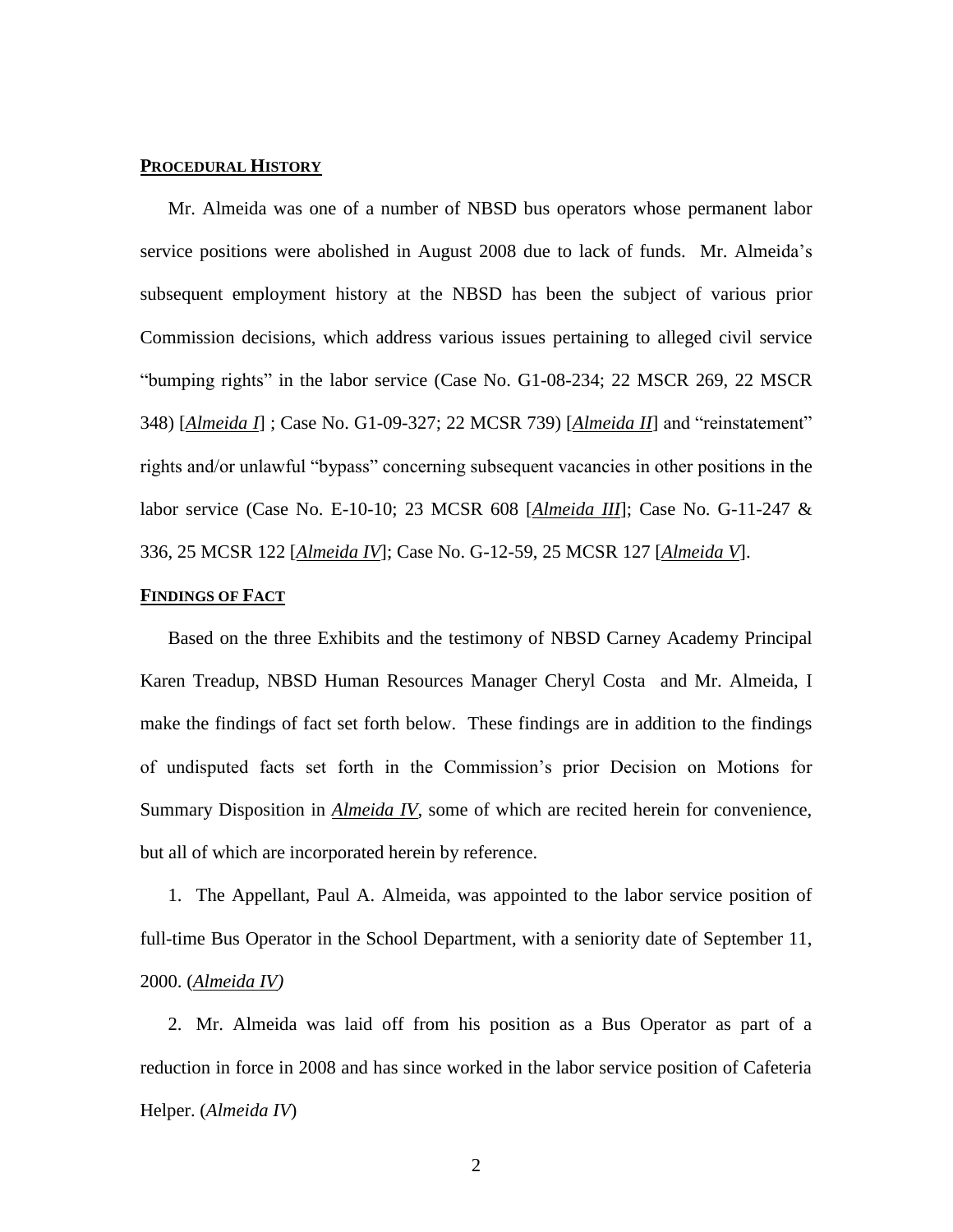### **PROCEDURAL HISTORY**

Mr. Almeida was one of a number of NBSD bus operators whose permanent labor service positions were abolished in August 2008 due to lack of funds. Mr. Almeida's subsequent employment history at the NBSD has been the subject of various prior Commission decisions, which address various issues pertaining to alleged civil service "bumping rights" in the labor service (Case No. G1-08-234; 22 MSCR 269, 22 MSCR 348) [*Almeida I*] ; Case No. G1-09-327; 22 MCSR 739) [*Almeida II*] and "reinstatement" rights and/or unlawful "bypass" concerning subsequent vacancies in other positions in the labor service (Case No. E-10-10; 23 MCSR 608 [*Almeida III*]; Case No. G-11-247 & 336, 25 MCSR 122 [*Almeida IV*]; Case No. G-12-59, 25 MCSR 127 [*Almeida V*].

### **FINDINGS OF FACT**

Based on the three Exhibits and the testimony of NBSD Carney Academy Principal Karen Treadup, NBSD Human Resources Manager Cheryl Costa and Mr. Almeida, I make the findings of fact set forth below. These findings are in addition to the findings of undisputed facts set forth in the Commission's prior Decision on Motions for Summary Disposition in *Almeida IV*, some of which are recited herein for convenience, but all of which are incorporated herein by reference.

1. The Appellant, Paul A. Almeida, was appointed to the labor service position of full-time Bus Operator in the School Department, with a seniority date of September 11, 2000. (*Almeida IV)*

2. Mr. Almeida was laid off from his position as a Bus Operator as part of a reduction in force in 2008 and has since worked in the labor service position of Cafeteria Helper. (*Almeida IV*)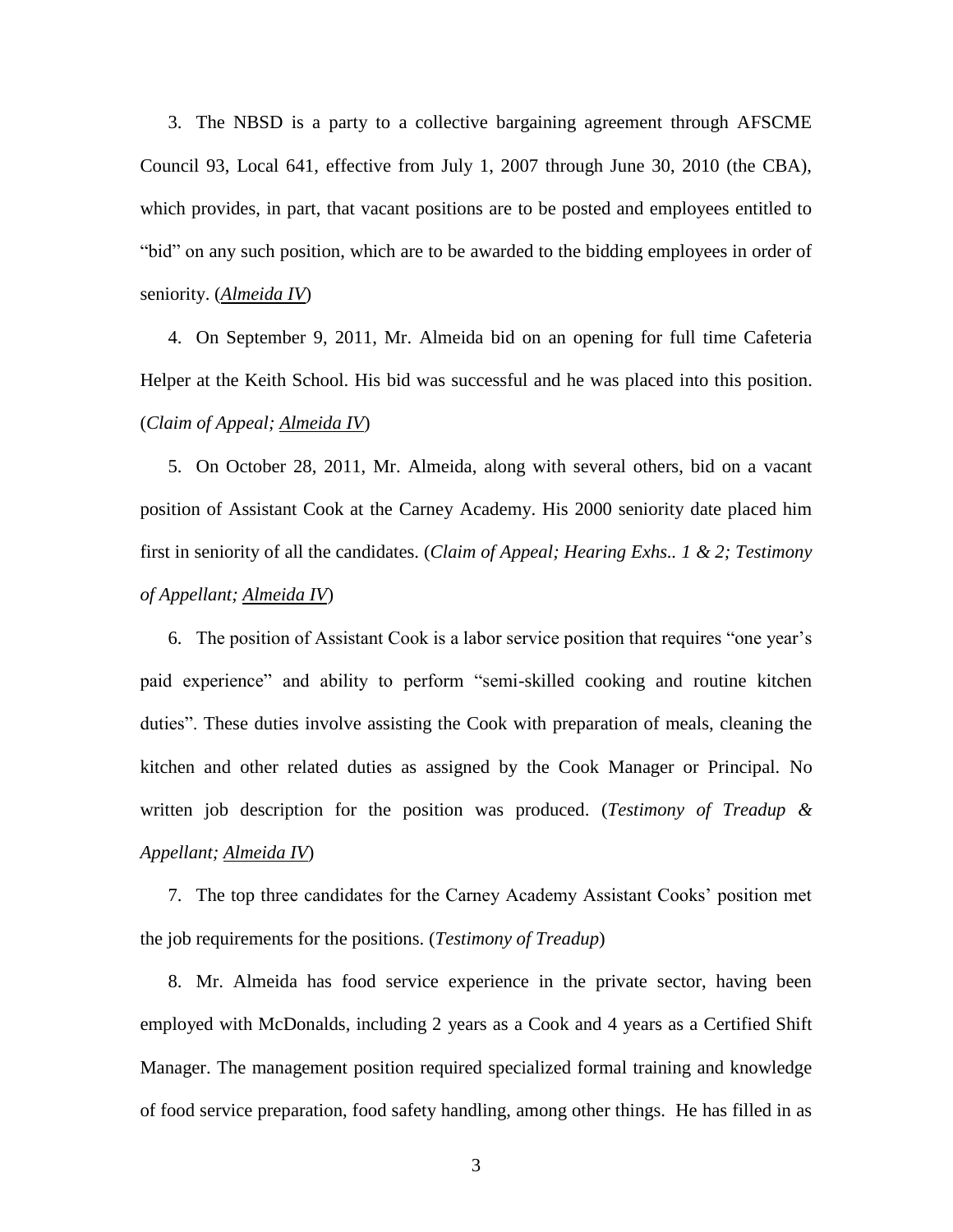3. The NBSD is a party to a collective bargaining agreement through AFSCME Council 93, Local 641, effective from July 1, 2007 through June 30, 2010 (the CBA), which provides, in part, that vacant positions are to be posted and employees entitled to "bid" on any such position, which are to be awarded to the bidding employees in order of seniority. (*Almeida IV*)

4. On September 9, 2011, Mr. Almeida bid on an opening for full time Cafeteria Helper at the Keith School. His bid was successful and he was placed into this position. (*Claim of Appeal; Almeida IV*)

5. On October 28, 2011, Mr. Almeida, along with several others, bid on a vacant position of Assistant Cook at the Carney Academy. His 2000 seniority date placed him first in seniority of all the candidates. (*Claim of Appeal; Hearing Exhs.. 1 & 2; Testimony of Appellant; Almeida IV*)

6. The position of Assistant Cook is a labor service position that requires "one year's paid experience" and ability to perform "semi-skilled cooking and routine kitchen duties". These duties involve assisting the Cook with preparation of meals, cleaning the kitchen and other related duties as assigned by the Cook Manager or Principal. No written job description for the position was produced. (*Testimony of Treadup & Appellant; Almeida IV*)

7. The top three candidates for the Carney Academy Assistant Cooks' position met the job requirements for the positions. (*Testimony of Treadup*)

8. Mr. Almeida has food service experience in the private sector, having been employed with McDonalds, including 2 years as a Cook and 4 years as a Certified Shift Manager. The management position required specialized formal training and knowledge of food service preparation, food safety handling, among other things. He has filled in as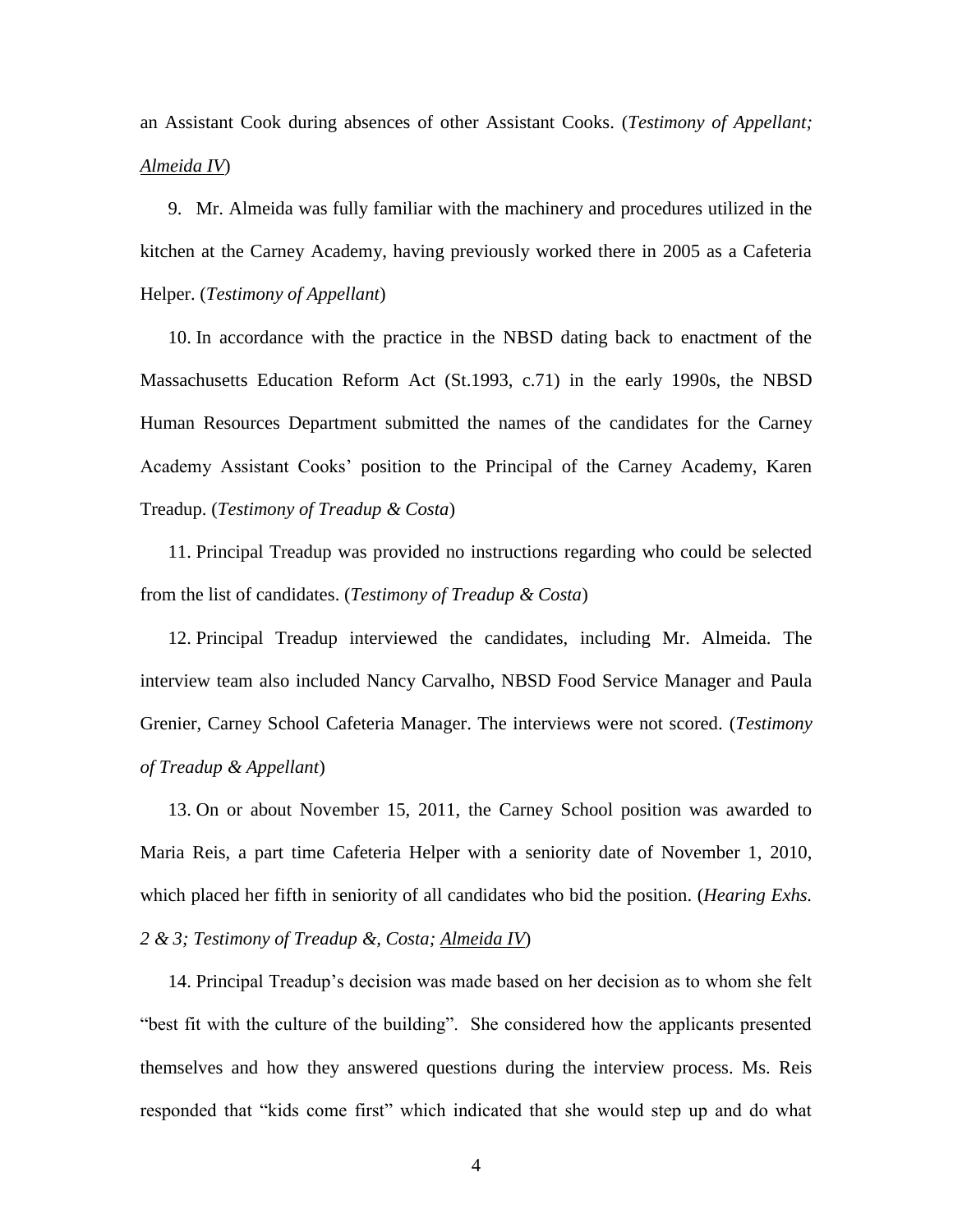an Assistant Cook during absences of other Assistant Cooks. (*Testimony of Appellant; Almeida IV*)

9. Mr. Almeida was fully familiar with the machinery and procedures utilized in the kitchen at the Carney Academy, having previously worked there in 2005 as a Cafeteria Helper. (*Testimony of Appellant*)

10. In accordance with the practice in the NBSD dating back to enactment of the Massachusetts Education Reform Act (St.1993, c.71) in the early 1990s, the NBSD Human Resources Department submitted the names of the candidates for the Carney Academy Assistant Cooks' position to the Principal of the Carney Academy, Karen Treadup. (*Testimony of Treadup & Costa*)

11. Principal Treadup was provided no instructions regarding who could be selected from the list of candidates. (*Testimony of Treadup & Costa*)

12. Principal Treadup interviewed the candidates, including Mr. Almeida. The interview team also included Nancy Carvalho, NBSD Food Service Manager and Paula Grenier, Carney School Cafeteria Manager. The interviews were not scored. (*Testimony of Treadup & Appellant*)

13. On or about November 15, 2011, the Carney School position was awarded to Maria Reis, a part time Cafeteria Helper with a seniority date of November 1, 2010, which placed her fifth in seniority of all candidates who bid the position. (*Hearing Exhs. 2 & 3; Testimony of Treadup &, Costa; Almeida IV*)

14. Principal Treadup's decision was made based on her decision as to whom she felt "best fit with the culture of the building". She considered how the applicants presented themselves and how they answered questions during the interview process. Ms. Reis responded that "kids come first" which indicated that she would step up and do what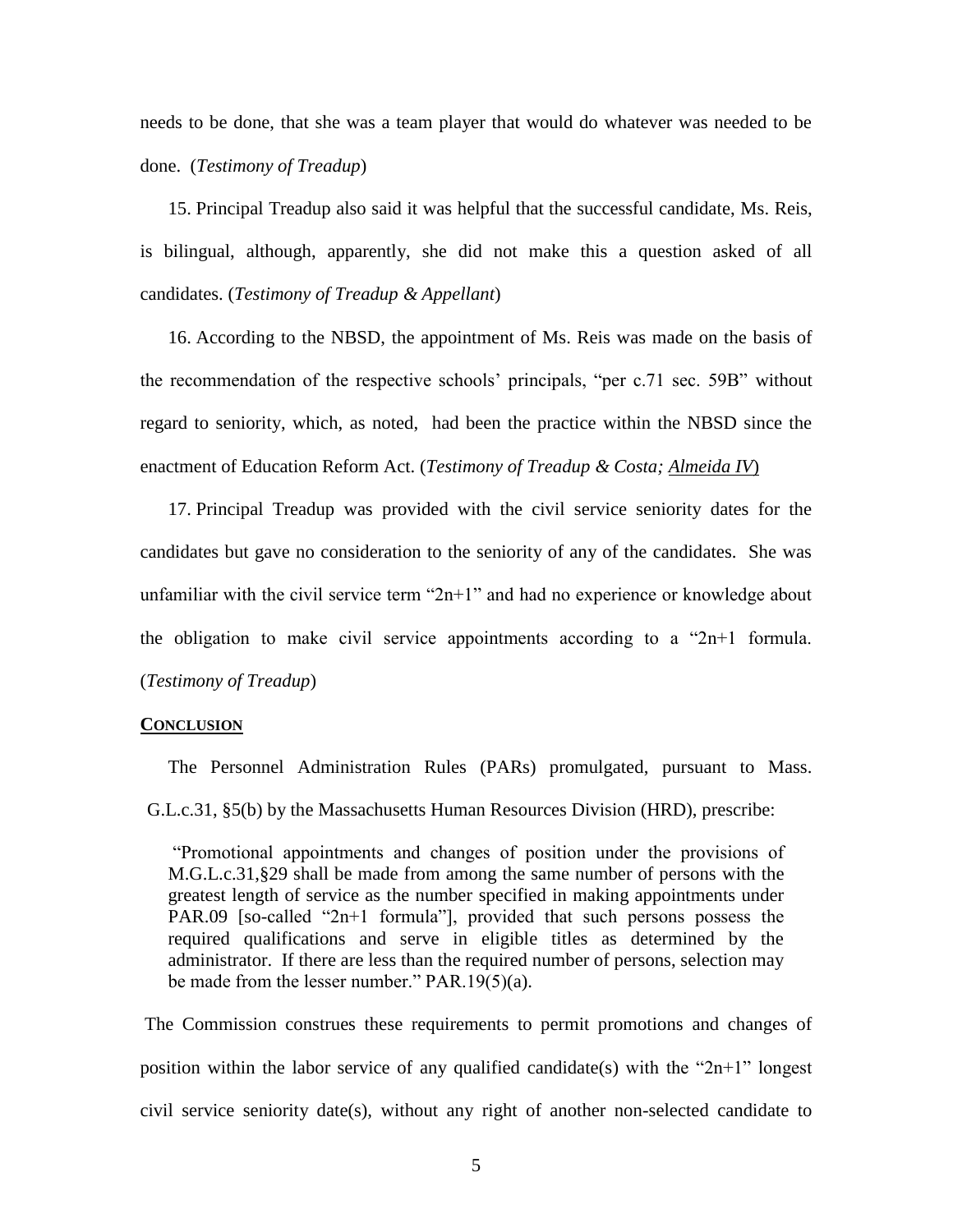needs to be done, that she was a team player that would do whatever was needed to be done. (*Testimony of Treadup*)

15. Principal Treadup also said it was helpful that the successful candidate, Ms. Reis, is bilingual, although, apparently, she did not make this a question asked of all candidates. (*Testimony of Treadup & Appellant*)

16. According to the NBSD, the appointment of Ms. Reis was made on the basis of the recommendation of the respective schools' principals, "per c.71 sec. 59B" without regard to seniority, which, as noted, had been the practice within the NBSD since the enactment of Education Reform Act. (*Testimony of Treadup & Costa; Almeida IV*)

17. Principal Treadup was provided with the civil service seniority dates for the candidates but gave no consideration to the seniority of any of the candidates. She was unfamiliar with the civil service term " $2n+1$ " and had no experience or knowledge about the obligation to make civil service appointments according to a "2n+1 formula. (*Testimony of Treadup*)

#### **CONCLUSION**

The Personnel Administration Rules (PARs) promulgated, pursuant to Mass. G.L.c.31, §5(b) by the Massachusetts Human Resources Division (HRD), prescribe:

"Promotional appointments and changes of position under the provisions of M.G.L.c.31,§29 shall be made from among the same number of persons with the greatest length of service as the number specified in making appointments under PAR.09 [so-called "2n+1 formula"], provided that such persons possess the required qualifications and serve in eligible titles as determined by the administrator. If there are less than the required number of persons, selection may be made from the lesser number." PAR.19(5)(a).

The Commission construes these requirements to permit promotions and changes of position within the labor service of any qualified candidate(s) with the " $2n+1$ " longest civil service seniority date(s), without any right of another non-selected candidate to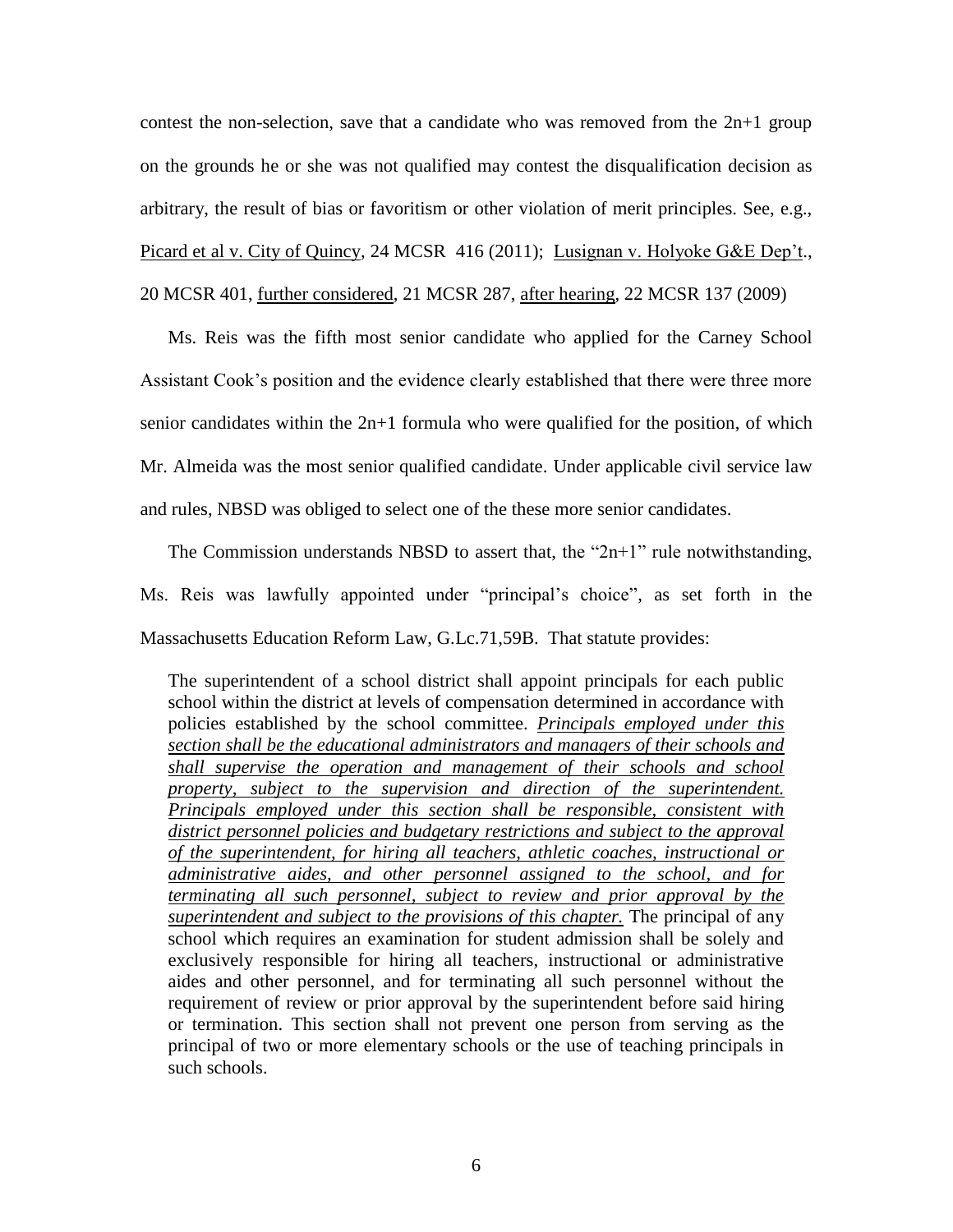contest the non-selection, save that a candidate who was removed from the  $2n+1$  group on the grounds he or she was not qualified may contest the disqualification decision as arbitrary, the result of bias or favoritism or other violation of merit principles. See, e.g., Picard et al v. City of Quincy, 24 MCSR 416 (2011); Lusignan v. Holyoke G&E Dep't., 20 MCSR 401, further considered, 21 MCSR 287, after hearing, 22 MCSR 137 (2009)

Ms. Reis was the fifth most senior candidate who applied for the Carney School Assistant Cook's position and the evidence clearly established that there were three more senior candidates within the 2n+1 formula who were qualified for the position, of which Mr. Almeida was the most senior qualified candidate. Under applicable civil service law and rules, NBSD was obliged to select one of the these more senior candidates.

The Commission understands NBSD to assert that, the " $2n+1$ " rule notwithstanding, Ms. Reis was lawfully appointed under "principal's choice", as set forth in the Massachusetts Education Reform Law, G.Lc.71,59B. That statute provides:

The superintendent of a school district shall appoint principals for each public school within the district at levels of compensation determined in accordance with policies established by the school committee. *Principals employed under this section shall be the educational administrators and managers of their schools and shall supervise the operation and management of their schools and school property, subject to the supervision and direction of the superintendent. Principals employed under this section shall be responsible, consistent with district personnel policies and budgetary restrictions and subject to the approval of the superintendent, for hiring all teachers, athletic coaches, instructional or administrative aides, and other personnel assigned to the school, and for terminating all such personnel, subject to review and prior approval by the superintendent and subject to the provisions of this chapter.* The principal of any school which requires an examination for student admission shall be solely and exclusively responsible for hiring all teachers, instructional or administrative aides and other personnel, and for terminating all such personnel without the requirement of review or prior approval by the superintendent before said hiring or termination. This section shall not prevent one person from serving as the principal of two or more elementary schools or the use of teaching principals in such schools.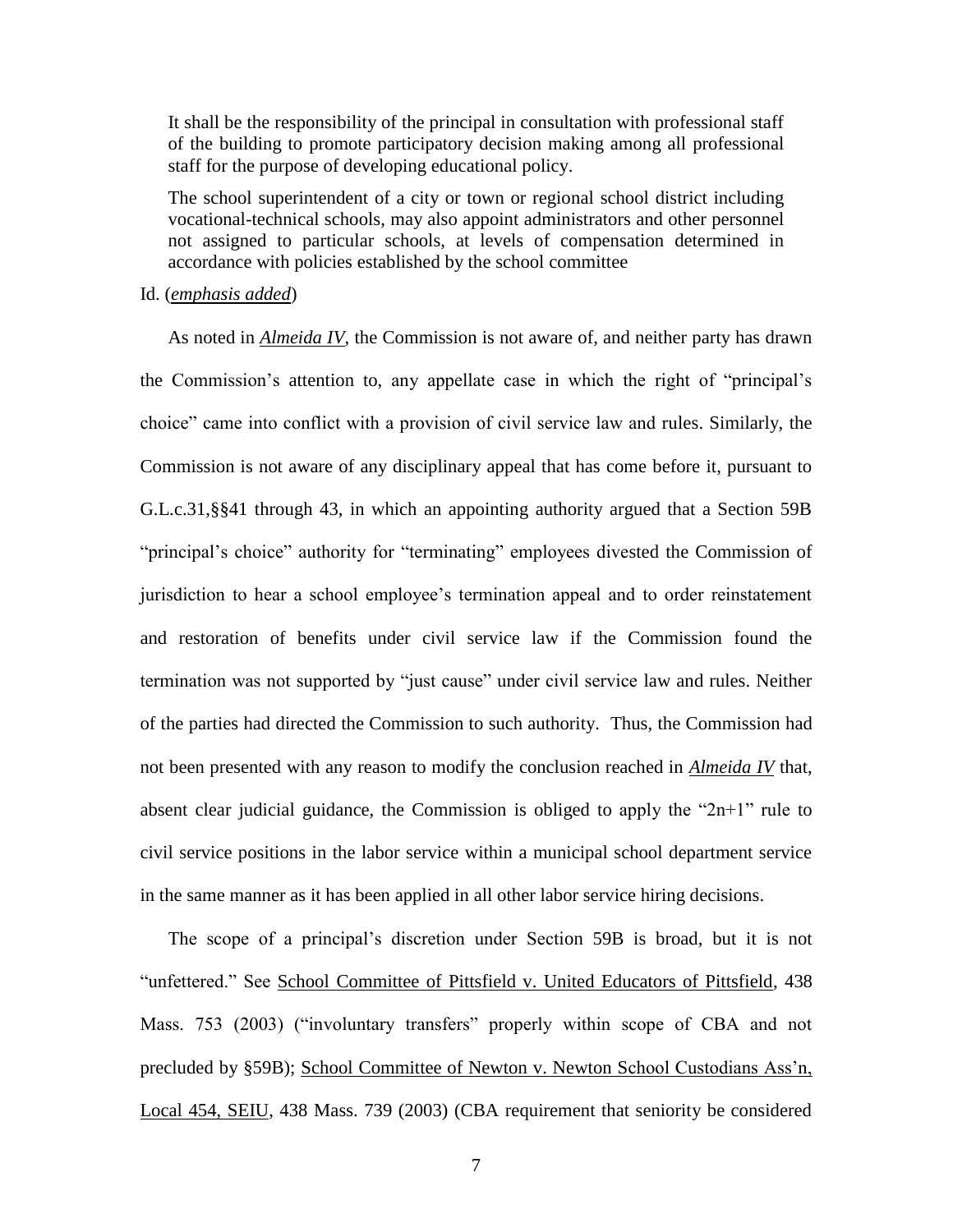It shall be the responsibility of the principal in consultation with professional staff of the building to promote participatory decision making among all professional staff for the purpose of developing educational policy.

The school superintendent of a city or town or regional school district including vocational-technical schools, may also appoint administrators and other personnel not assigned to particular schools, at levels of compensation determined in accordance with policies established by the school committee

#### Id. (*emphasis added*)

As noted in *Almeida IV*, the Commission is not aware of, and neither party has drawn the Commission's attention to, any appellate case in which the right of "principal's choice" came into conflict with a provision of civil service law and rules. Similarly, the Commission is not aware of any disciplinary appeal that has come before it, pursuant to G.L.c.31,§§41 through 43, in which an appointing authority argued that a Section 59B "principal's choice" authority for "terminating" employees divested the Commission of jurisdiction to hear a school employee's termination appeal and to order reinstatement and restoration of benefits under civil service law if the Commission found the termination was not supported by "just cause" under civil service law and rules. Neither of the parties had directed the Commission to such authority. Thus, the Commission had not been presented with any reason to modify the conclusion reached in *Almeida IV* that, absent clear judicial guidance, the Commission is obliged to apply the "2n+1" rule to civil service positions in the labor service within a municipal school department service in the same manner as it has been applied in all other labor service hiring decisions.

The scope of a principal's discretion under Section 59B is broad, but it is not "unfettered." See School Committee of Pittsfield v. United Educators of Pittsfield, 438 Mass. 753 (2003) ("involuntary transfers" properly within scope of CBA and not precluded by §59B); School Committee of Newton v. Newton School Custodians Ass'n, Local 454, SEIU, 438 Mass. 739 (2003) (CBA requirement that seniority be considered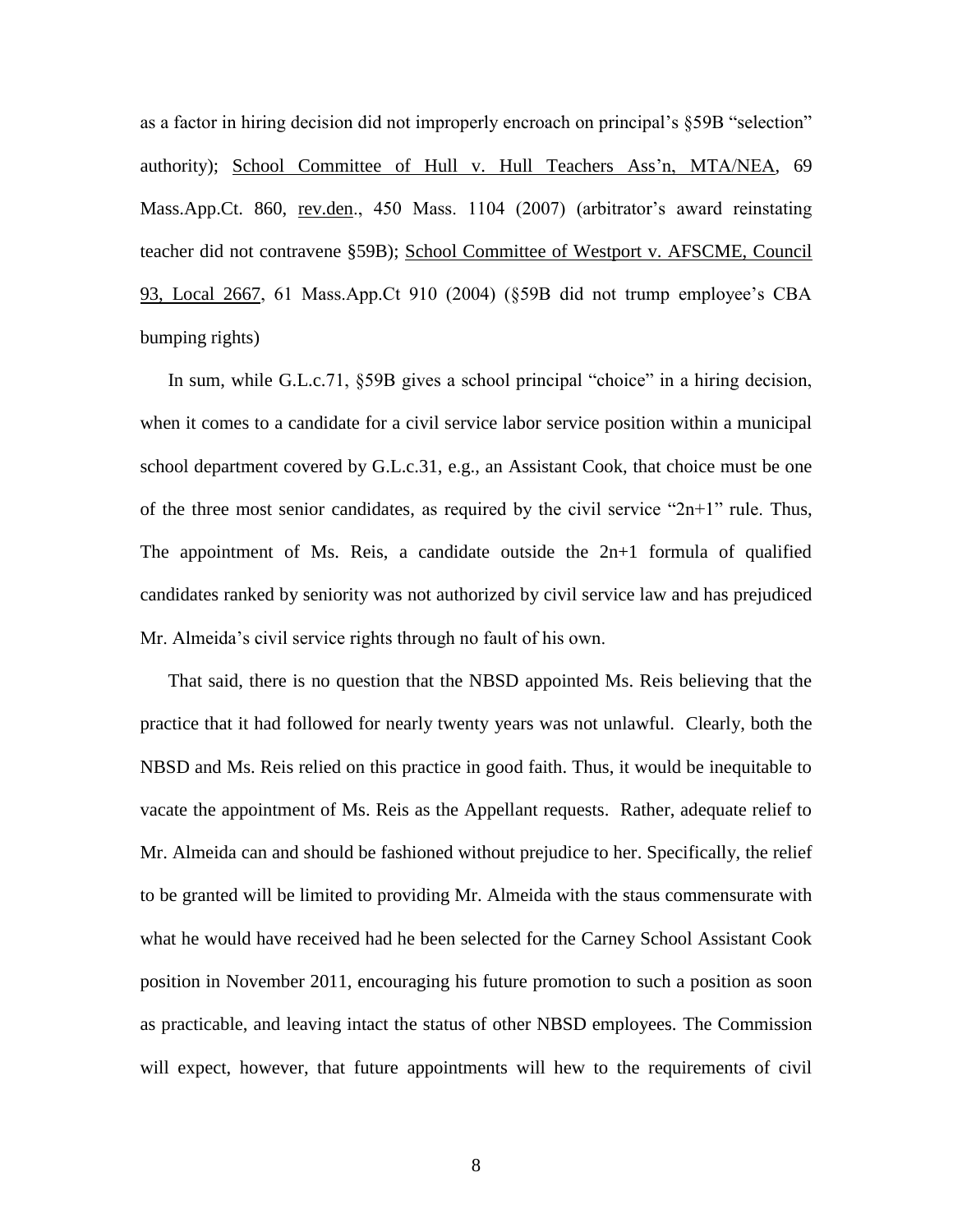as a factor in hiring decision did not improperly encroach on principal's §59B "selection" authority); School Committee of Hull v. Hull Teachers Ass'n, MTA/NEA, 69 Mass.App.Ct. 860, rev.den., 450 Mass. 1104 (2007) (arbitrator's award reinstating teacher did not contravene §59B); School Committee of Westport v. AFSCME, Council 93, Local 2667, 61 Mass.App.Ct 910 (2004) (§59B did not trump employee's CBA bumping rights)

In sum, while G.L.c.71, §59B gives a school principal "choice" in a hiring decision, when it comes to a candidate for a civil service labor service position within a municipal school department covered by G.L.c.31, e.g., an Assistant Cook, that choice must be one of the three most senior candidates, as required by the civil service "2n+1" rule. Thus, The appointment of Ms. Reis, a candidate outside the  $2n+1$  formula of qualified candidates ranked by seniority was not authorized by civil service law and has prejudiced Mr. Almeida's civil service rights through no fault of his own.

That said, there is no question that the NBSD appointed Ms. Reis believing that the practice that it had followed for nearly twenty years was not unlawful. Clearly, both the NBSD and Ms. Reis relied on this practice in good faith. Thus, it would be inequitable to vacate the appointment of Ms. Reis as the Appellant requests. Rather, adequate relief to Mr. Almeida can and should be fashioned without prejudice to her. Specifically, the relief to be granted will be limited to providing Mr. Almeida with the staus commensurate with what he would have received had he been selected for the Carney School Assistant Cook position in November 2011, encouraging his future promotion to such a position as soon as practicable, and leaving intact the status of other NBSD employees. The Commission will expect, however, that future appointments will hew to the requirements of civil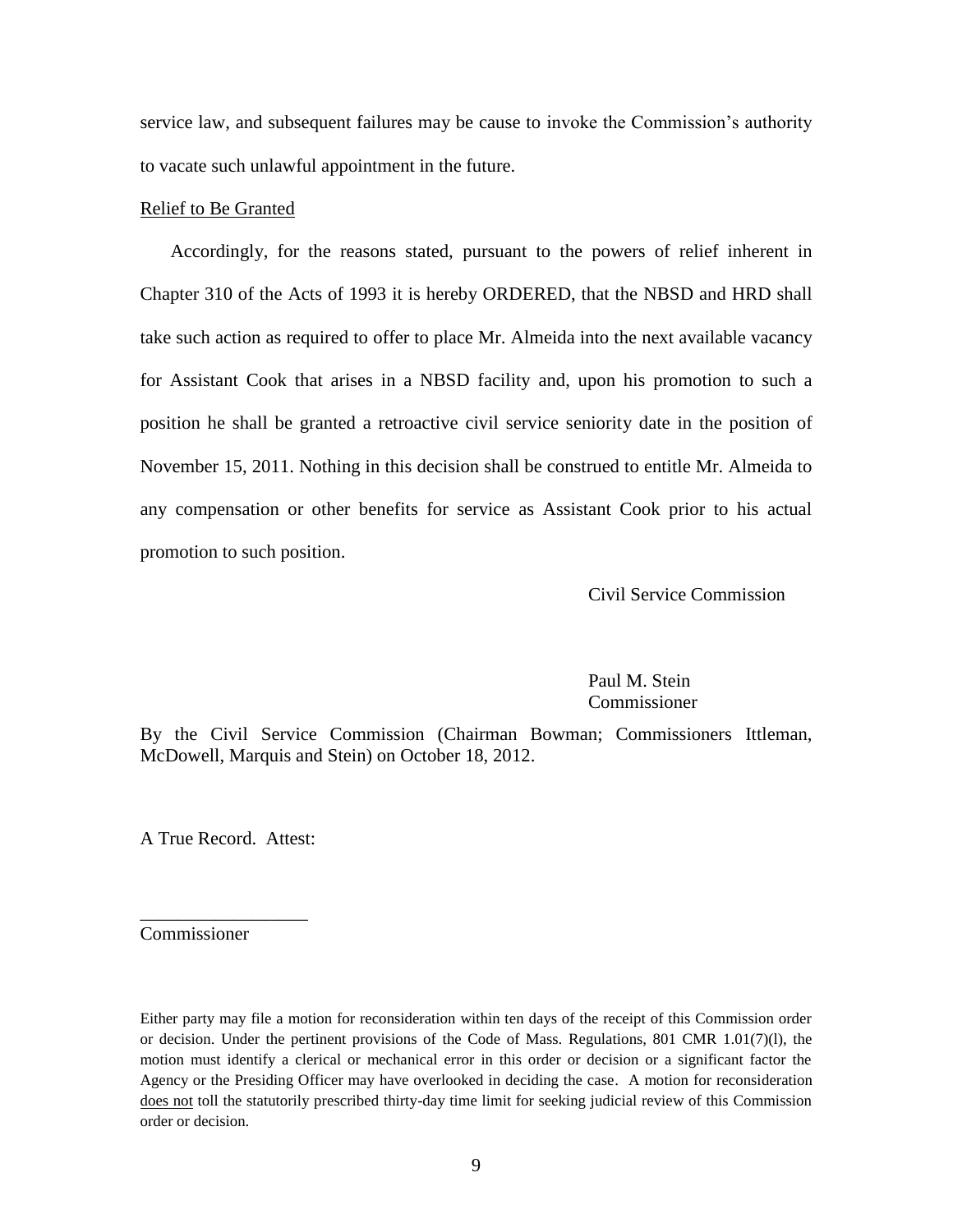service law, and subsequent failures may be cause to invoke the Commission's authority to vacate such unlawful appointment in the future.

## Relief to Be Granted

 Accordingly, for the reasons stated, pursuant to the powers of relief inherent in Chapter 310 of the Acts of 1993 it is hereby ORDERED, that the NBSD and HRD shall take such action as required to offer to place Mr. Almeida into the next available vacancy for Assistant Cook that arises in a NBSD facility and, upon his promotion to such a position he shall be granted a retroactive civil service seniority date in the position of November 15, 2011. Nothing in this decision shall be construed to entitle Mr. Almeida to any compensation or other benefits for service as Assistant Cook prior to his actual promotion to such position.

Civil Service Commission

Paul M. Stein Commissioner

By the Civil Service Commission (Chairman Bowman; Commissioners Ittleman, McDowell, Marquis and Stein) on October 18, 2012.

A True Record. Attest:

\_\_\_\_\_\_\_\_\_\_\_\_\_\_\_\_\_\_

Commissioner

Either party may file a motion for reconsideration within ten days of the receipt of this Commission order or decision. Under the pertinent provisions of the Code of Mass. Regulations, 801 CMR 1.01(7)(l), the motion must identify a clerical or mechanical error in this order or decision or a significant factor the Agency or the Presiding Officer may have overlooked in deciding the case. A motion for reconsideration does not toll the statutorily prescribed thirty-day time limit for seeking judicial review of this Commission order or decision.